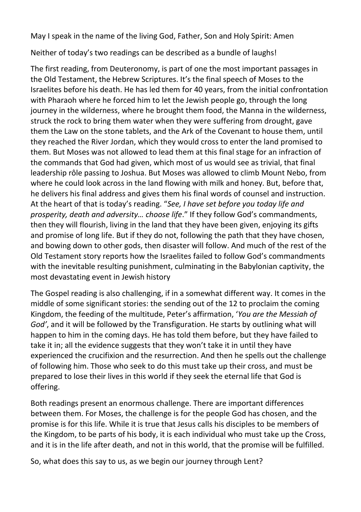May I speak in the name of the living God, Father, Son and Holy Spirit: Amen

Neither of today's two readings can be described as a bundle of laughs!

The first reading, from Deuteronomy, is part of one the most important passages in the Old Testament, the Hebrew Scriptures. It's the final speech of Moses to the Israelites before his death. He has led them for 40 years, from the initial confrontation with Pharaoh where he forced him to let the Jewish people go, through the long journey in the wilderness, where he brought them food, the Manna in the wilderness, struck the rock to bring them water when they were suffering from drought, gave them the Law on the stone tablets, and the Ark of the Covenant to house them, until they reached the River Jordan, which they would cross to enter the land promised to them. But Moses was not allowed to lead them at this final stage for an infraction of the commands that God had given, which most of us would see as trivial, that final leadership rôle passing to Joshua. But Moses was allowed to climb Mount Nebo, from where he could look across in the land flowing with milk and honey. But, before that, he delivers his final address and gives them his final words of counsel and instruction. At the heart of that is today's reading. "*See, I have set before you today life and prosperity, death and adversity… choose life*." If they follow God's commandments, then they will flourish, living in the land that they have been given, enjoying its gifts and promise of long life. But if they do not, following the path that they have chosen, and bowing down to other gods, then disaster will follow. And much of the rest of the Old Testament story reports how the Israelites failed to follow God's commandments with the inevitable resulting punishment, culminating in the Babylonian captivity, the most devastating event in Jewish history

The Gospel reading is also challenging, if in a somewhat different way. It comes in the middle of some significant stories: the sending out of the 12 to proclaim the coming Kingdom, the feeding of the multitude, Peter's affirmation, '*You are the Messiah of God'*, and it will be followed by the Transfiguration. He starts by outlining what will happen to him in the coming days. He has told them before, but they have failed to take it in; all the evidence suggests that they won't take it in until they have experienced the crucifixion and the resurrection. And then he spells out the challenge of following him. Those who seek to do this must take up their cross, and must be prepared to lose their lives in this world if they seek the eternal life that God is offering.

Both readings present an enormous challenge. There are important differences between them. For Moses, the challenge is for the people God has chosen, and the promise is for this life. While it is true that Jesus calls his disciples to be members of the Kingdom, to be parts of his body, it is each individual who must take up the Cross, and it is in the life after death, and not in this world, that the promise will be fulfilled.

So, what does this say to us, as we begin our journey through Lent?